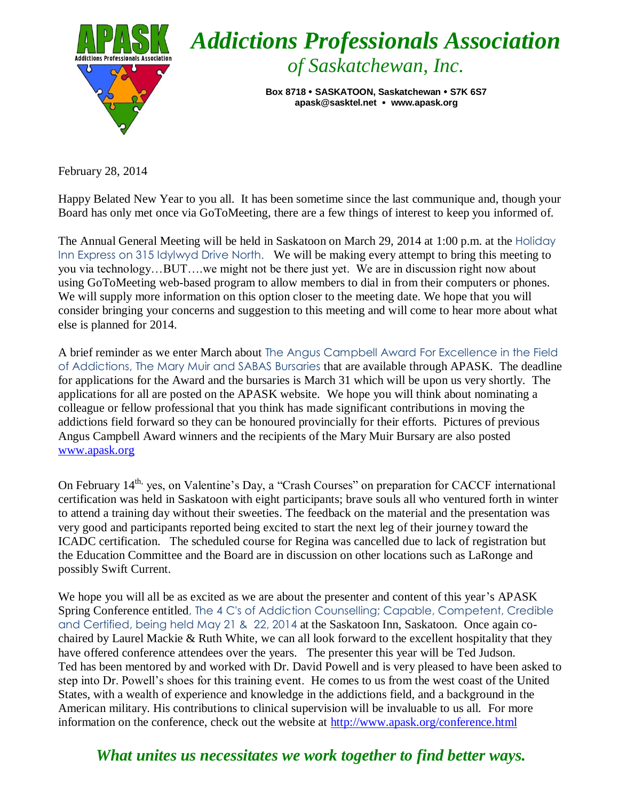

February 28, 2014

Happy Belated New Year to you all. It has been sometime since the last communique and, though your Board has only met once via GoToMeeting, there are a few things of interest to keep you informed of.

The Annual General Meeting will be held in Saskatoon on March 29, 2014 at 1:00 p.m. at the Holiday Inn Express on 315 Idylwyd Drive North. We will be making every attempt to bring this meeting to you via technology…BUT….we might not be there just yet. We are in discussion right now about using GoToMeeting web-based program to allow members to dial in from their computers or phones. We will supply more information on this option closer to the meeting date. We hope that you will consider bringing your concerns and suggestion to this meeting and will come to hear more about what else is planned for 2014.

A brief reminder as we enter March about The Angus Campbell Award For Excellence in the Field of Addictions, The Mary Muir and SABAS Bursaries that are available through APASK. The deadline for applications for the Award and the bursaries is March 31 which will be upon us very shortly. The applications for all are posted on the APASK website. We hope you will think about nominating a colleague or fellow professional that you think has made significant contributions in moving the addictions field forward so they can be honoured provincially for their efforts. Pictures of previous Angus Campbell Award winners and the recipients of the Mary Muir Bursary are also posted [www.apask.org](http://www.apask.org/) 

On February 14<sup>th,</sup> yes, on Valentine's Day, a "Crash Courses" on preparation for CACCF international certification was held in Saskatoon with eight participants; brave souls all who ventured forth in winter to attend a training day without their sweeties. The feedback on the material and the presentation was very good and participants reported being excited to start the next leg of their journey toward the ICADC certification. The scheduled course for Regina was cancelled due to lack of registration but the Education Committee and the Board are in discussion on other locations such as LaRonge and possibly Swift Current.

We hope you will all be as excited as we are about the presenter and content of this year's APASK Spring Conference entitled, The 4 C's of Addiction Counselling; Capable, Competent, Credible and Certified, being held May 21 & 22, 2014 at the Saskatoon Inn, Saskatoon. Once again cochaired by Laurel Mackie & Ruth White, we can all look forward to the excellent hospitality that they have offered conference attendees over the years. The presenter this year will be Ted Judson. Ted has been mentored by and worked with Dr. David Powell and is very pleased to have been asked to step into Dr. Powell's shoes for this training event. He comes to us from the west coast of the United States, with a wealth of experience and knowledge in the addictions field, and a background in the American military. His contributions to clinical supervision will be invaluable to us all. For more information on the conference, check out the website at<http://www.apask.org/conference.html>

## *What unites us necessitates we work together to find better ways.*